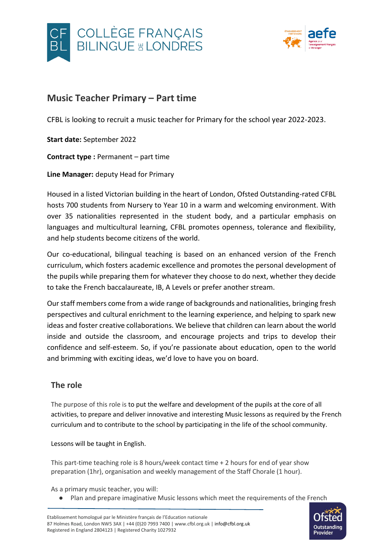



# **Music Teacher Primary – Part time**

CFBL is looking to recruit a music teacher for Primary for the school year 2022-2023.

**Start date:** September 2022

**Contract type :** Permanent – part time

**Line Manager:** deputy Head for Primary

Housed in a listed Victorian building in the heart of London, Ofsted Outstanding-rated CFBL hosts 700 students from Nursery to Year 10 in a warm and welcoming environment. With over 35 nationalities represented in the student body, and a particular emphasis on languages and multicultural learning, CFBL promotes openness, tolerance and flexibility, and help students become citizens of the world.

Our co-educational, bilingual teaching is based on an enhanced version of the French curriculum, which fosters academic excellence and promotes the personal development of the pupils while preparing them for whatever they choose to do next, whether they decide to take the French baccalaureate, IB, A Levels or prefer another stream.

Our staff members come from a wide range of backgrounds and nationalities, bringing fresh perspectives and cultural enrichment to the learning experience, and helping to spark new ideas and foster creative collaborations. We believe that children can learn about the world inside and outside the classroom, and encourage projects and trips to develop their confidence and self-esteem. So, if you're passionate about education, open to the world and brimming with exciting ideas, we'd love to have you on board.

### **The role**

The purpose of this role is to put the welfare and development of the pupils at the core of all activities, to prepare and deliver innovative and interesting Music lessons as required by the French curriculum and to contribute to the school by participating in the life of the school community.

Lessons will be taught in English.

This part-time teaching role is 8 hours/week contact time + 2 hours for end of year show preparation (1hr), organisation and weekly management of the Staff Chorale (1 hour).

As a primary music teacher, you will:

● Plan and prepare imaginative Music lessons which meet the requirements of the French

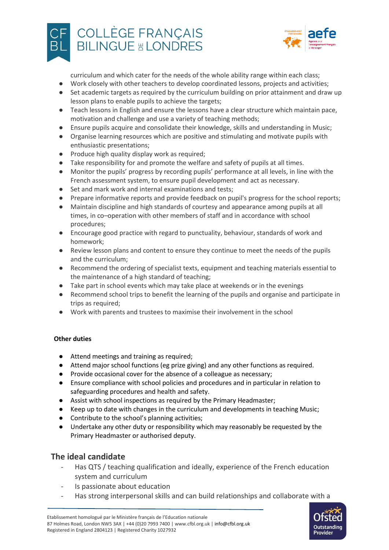



curriculum and which cater for the needs of the whole ability range within each class;

- Work closely with other teachers to develop coordinated lessons, projects and activities;
- Set academic targets as required by the curriculum building on prior attainment and draw up lesson plans to enable pupils to achieve the targets;
- Teach lessons in English and ensure the lessons have a clear structure which maintain pace, motivation and challenge and use a variety of teaching methods;
- Ensure pupils acquire and consolidate their knowledge, skills and understanding in Music;
- Organise learning resources which are positive and stimulating and motivate pupils with enthusiastic presentations;
- Produce high quality display work as required:
- Take responsibility for and promote the welfare and safety of pupils at all times.
- Monitor the pupils' progress by recording pupils' performance at all levels, in line with the French assessment system, to ensure pupil development and act as necessary.
- Set and mark work and internal examinations and tests;
- Prepare informative reports and provide feedback on pupil's progress for the school reports;
- Maintain discipline and high standards of courtesy and appearance among pupils at all times, in co–operation with other members of staff and in accordance with school procedures;
- Encourage good practice with regard to punctuality, behaviour, standards of work and homework;
- Review lesson plans and content to ensure they continue to meet the needs of the pupils and the curriculum;
- Recommend the ordering of specialist texts, equipment and teaching materials essential to the maintenance of a high standard of teaching;
- Take part in school events which may take place at weekends or in the evenings
- Recommend school trips to benefit the learning of the pupils and organise and participate in trips as required;
- Work with parents and trustees to maximise their involvement in the school

#### **Other duties**

- Attend meetings and training as required;
- Attend major school functions (eg prize giving) and any other functions as required.
- Provide occasional cover for the absence of a colleague as necessary;
- Ensure compliance with school policies and procedures and in particular in relation to safeguarding procedures and health and safety.
- Assist with school inspections as required by the Primary Headmaster;
- Keep up to date with changes in the curriculum and developments in teaching Music;
- Contribute to the school's planning activities;
- Undertake any other duty or responsibility which may reasonably be requested by the Primary Headmaster or authorised deputy.

#### **The ideal candidate**

- Has QTS / teaching qualification and ideally, experience of the French education system and curriculum
- Is passionate about education
- Has strong interpersonal skills and can build relationships and collaborate with a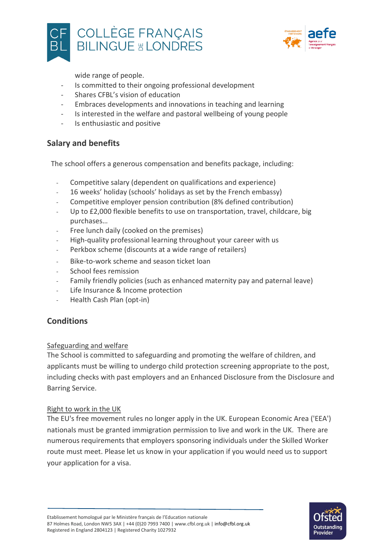



wide range of people.

- Is committed to their ongoing professional development
- Shares CFBL's vision of education
- Embraces developments and innovations in teaching and learning
- Is interested in the welfare and pastoral wellbeing of young people
- Is enthusiastic and positive

### **Salary and benefits**

The school offers a generous compensation and benefits package, including:

- Competitive salary (dependent on qualifications and experience)
- 16 weeks' holiday (schools' holidays as set by the French embassy)
- Competitive employer pension contribution (8% defined contribution)
- Up to £2,000 flexible benefits to use on transportation, travel, childcare, big purchases…
- Free lunch daily (cooked on the premises)
- High-quality professional learning throughout your career with us
- Perkbox scheme (discounts at a wide range of retailers)
- Bike-to-work scheme and season ticket loan
- School fees remission
- Family friendly policies (such as enhanced maternity pay and paternal leave)
- Life Insurance & Income protection
- Health Cash Plan (opt-in)

### **Conditions**

#### Safeguarding and welfare

The School is committed to safeguarding and promoting the welfare of children, and applicants must be willing to undergo child protection screening appropriate to the post, including checks with past employers and an Enhanced Disclosure from the Disclosure and Barring Service.

#### Right to work in the UK

The EU's free movement rules no longer apply in the UK. European Economic Area ('EEA') nationals must be granted immigration permission to live and work in the UK. There are numerous requirements that employers sponsoring individuals under the Skilled Worker route must meet. Please let us know in your application if you would need us to support your application for a visa.